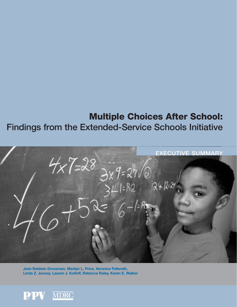# **Multiple Choices After School: Findings from the Extended-Service Schools Initiative**



**Jean Baldwin Grossman, Marilyn L. Price, Veronica Fellerath, Linda Z. Jucovy, Lauren J. Kotloff, Rebecca Raley, Karen E. Walker**

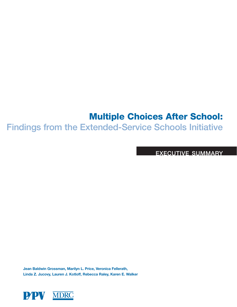## **Multiple Choices After School:**

**Findings from the Extended-Service Schools Initiative**

**EXECUTIVE SUMMARY** 

**Jean Baldwin Grossman, Marilyn L. Price, Veronica Fellerath, Linda Z. Jucovy, Lauren J. Kotloff, Rebecca Raley, Karen E. Walker**

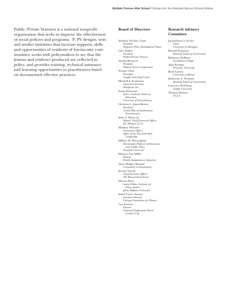Public/Private Ventures is a national nonprofit organization that seeks to improve the effectiveness of social policies and programs. P/PV designs, tests and studies initiatives that increase supports, skills and opportunities of residents of low-income communities; works with policymakers to see that the lessons and evidence produced are reflected in policy; and provides training, technical assistance and learning opportunities to practitioners based on documented effective practices.

#### **Board of Directors**

Siobhan Nicolau, Chair *President Hispanic Policy Development Project* Gary Walker *President Public/Private Ventures* Amalia Betanzos *President Wildcat Service Corporation* Yvonne Chan *Principal Vaughn Learning Center* Mitchell S. Fromstein *Chairman Emeritus Manpower Inc.* Susan Fuhrman *Dean, Graduate School of Education University of Pennsylvania* Christine L. James-Brown *President United Way of Southeastern Pennsylvania* John A. Mayer, Jr. *Retired, Chief Financial Officer J.P. Morgan & Co.* Matthew McGuire *Investment Officer Office of the New York State Comptroller*  Milbrey W. McLaughlin *David Jacks Professor of Education and Public Policy Stanford University* Maurice Lim Miller *Director Family Independence Initiative* Anne Hodges Morgan *Consultant to Foundations* Jeremy Nowak *Chief Executive Officer The Reinvestment Fund* Marion Pines *Senior Fellow, Institute for Policy Studies Johns Hopkins University* Isabel Carter Stewart *Executive Director Chicago Foundation for Women* Cay Stratton *Director National Employment Panel, London U.K.*

#### **Research Advisory Committee**

Jacquelynne S. Eccles *Chair University of Michigan* Ronald Ferguson *Kennedy School of Government* Robinson Hollister *Swarthmore College* Alan Krueger *Princeton University* Reed Larson *University of Illinois* Katherine S. Newman *Kennedy School of Government* Laurence Steinberg *Temple University* Thomas Weisner *UCLA*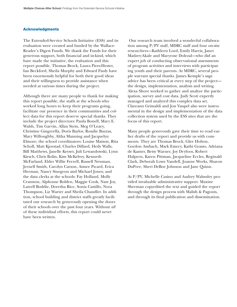#### **Acknowledgments**

The Extended-Service Schools Initiative (ESS) and its evaluation were created and funded by the Wallace-Reader's Digest Funds. We thank the Funds for their generous support, both financial and in-kind, which have made the initiative, the evaluation and this report possible. Thomas Brock, Laura Pires-Hester, Ian Beckford, Sheila Murphy and Edward Pauly have been enormously helpful for both their good ideas and their willingness to provide assistance when needed at various times during the project.

Although there are many people to thank for making this report possible, the staffs at the schools who worked long hours to keep their programs going, facilitate our presence in their communities and collect data for this report deserve special thanks. They include the project directors: Paula Bonell, Mary E. Walsh, Tim Garvin, Allan Stein, Meg O'Leary, Christine Gingerella, Doris Baylor, Rosalie Buzzas, Mary Willoughby, Altha Manning and Jacquelyn Elmore; the school coordinators: Louise Matson, Rita Scholl, Matt Kjorstad, Charles Dillard, Hedy Walls, Bill Matthews, Janelle Keyser, Juli Lewandowski, Lynn Kirsch, Chris Bolin, Kim McKelvey, Kenneth McFarland, Elder Willie Ferrell, Russell Newman, Jernell Smith, Carolyn Carson, Aimee Picard, Erica Herman, Nancy Sturgeon and Michael Jones; and the data clerks at the schools: Fay Holland, Molly Cranston, Alphonse Bolden, Maggie Cook, Nate Joy, Latrell Boddie, Doretha Rice, Sonia Castillo, Nora Thompson, Liz Warter and Sheila Chandler. In addition, school building and district staffs greatly facilitated our research by generously opening the doors of their schools over the past four years. Without *all* of these individual efforts, this report could never have been written.

Our research team involved a wonderful collaboration among P/PV staff, MDRC staff and four on-site researchers—Kathleen Lord, Emily Harris, Janet Madzey-Akale and Maryrose Dolezal—who did an expert job of conducting observational assessments of program activities and interviews with participating youth and their parents. At MDRC, several people warrant special thanks. James Kemple's sage advice has been critical at every step of the project the design, implementation, analysis and writing. Alexa Shore worked to gather and analyze the participation, survey and cost data. Judy Scott expertly managed and analyzed this complex data set. Clareann Grimaldi and Jon Vaupel also were instrumental in the design and implementation of the data collection system used by the ESS sites that are the focus of this report.

Many people generously gave their time to read earlier drafts of the report and provide us with comments. They are Thomas Brock, Glee Holton, Gordon Ambach, Mark Emery, Kathi Grasso, Adriana de Kanter, Betsy Warner, Joy Dryfoos, Robert Halpern, Karen Pittman, Jacqueline Eccles, Reginald Clark, Deborah Lowe Vandell, Joanne Weeks, Sharon DuPree, Sheri DeBoe Johnson and Jane Quinn.

At P/PV, Michelle Casino and Audrey Walmsley provided invaluable administrative support. Maxine Sherman copyedited the text and guided the report through the design process with Malish & Pagonis, and through its final publication and dissemination.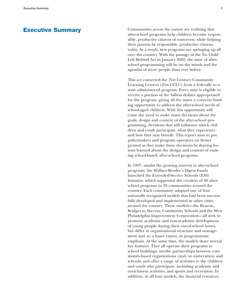## **Executive Summary**

Communities across the nation are realizing that after-school programs help children become responsible, productive citizens of tomorrow, while helping their parents be responsible, productive citizens today. As a result, new programs are springing up all over the country. With the passage of the No Child Left Behind Act in January 2002, the issue of afterschool programming will be on the minds and the agendas of more people than ever before.

This act converted the 21st Century Community Learning Centers (21st CCLC) from a federally to a state administered program. Every state is eligible to receive a portion of the billion dollars appropriated for the program, giving all the states a concrete funding opportunity to address the after-school needs of school-aged children. With this opportunity will come the need to make many decisions about the goals, design and content of the after-school programming, decisions that will influence which children and youth participate, what they experience and how they may benefit. This report aims to put policymakers and program operators on firmer ground as they make these decisions by sharing lessons learned about the design and content of existing school-based, after-school programs.

In 1997, amidst the growing interest in after-school programs, the Wallace-Reader's Digest Funds launched the Extended-Service Schools (ESS) Initiative, which supported the creation of 60 afterschool programs in 20 communities around the country. Each community adapted one of four nationally recognized models that had been successfully developed and implemented in other cities around the country. These models—the Beacon, Bridges to Success, Community Schools and the West Philadelphia Improvement Corporation—all seek to promote academic and non-academic development of young people during their out-of-school hours, but differ in organizational structure and management and, to a lesser extent, in programmatic emphasis. At the same time, the models share several key features. They all operate their programs in school buildings; involve partnerships between community-based organizations (and/or universities) and schools; and offer a range of activities to the children and youth who participate, including academic and enrichment activities, and sports and recreation. In addition, in all four models, the financial resources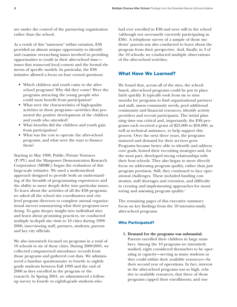are under the control of the partnering organization rather than the school.

As a result of this "sameness" within variation, ESS provided an almost unique opportunity to identify and examine overarching issues involved in providing opportunities to youth in their after-school time issues that transcend local context and the formal elements of specific models. In particular, the ESS initiative allowed a focus on four central questions:

- Which children and youth came to the afterschool programs? Why did they come? Were the programs attracting the young people who could most benefit from participation?
- What were the characteristics of high-quality activities in these programs—activities that promoted the positive development of the children and youth who attended?
- What benefits did the children and youth gain from participation?
- What was the cost to operate the after-school programs, and what were the ways to finance them?

Starting in May 1998, Public/Private Ventures (P/PV) and the Manpower Demonstration Research Corporation (MDRC) began the evaluation of this large-scale initiative. We used a multi-method approach designed to provide both an understanding of the breadth of programming experiences and the ability to more deeply delve into particular issues. To learn about the activities of all the ESS programs, we asked all the school site coordinators and citylevel program directors to complete annual organizational surveys summarizing what their programs were doing. To gain deeper insight into individual sites and learn about promising practices, we conducted multiple in-depth site visits to 10 cities during 1999- 2000, interviewing staff, partners, students, parents and key city officials.

We also intensively focused on programs in a total of 10 schools in six of these cities. During 2000-2001, we collected computerized attendance records from those programs and gathered cost data. We administered a baseline questionnaire to fourth- to eighthgrade students between Fall 1999 and the end of 2000 as they enrolled in the program or the research. In Spring 2001, we administered a followup survey to fourth- to eighth-grade students who

had ever enrolled in ESS and were still in the school (although not necessarily currently participating in ESS). A telephone survey of a sample of those students' parents was also conducted to learn about the program from their perspective. And, finally, in 3 of the 10 schools, we conducted multiple observations of the after-school activities.

## **What Have We Learned?**

We found that, across all of the sites, the schoolbased, after-school programs could be put in place fairly quickly. It typically took from six to nine months for programs to find organizational partners and staff, assess community needs, pool additional community and financial resources, identify activity providers and recruit participants. The initial planning time was critical and, importantly, the ESS programs each received a grant of \$25,000 to \$50,000, as well as technical assistance, to help support this process. Over the next three years, the programs matured and demand for their services grew. Programs became better able to identify and address core goals, honed their recruiting strategies and, for the most part, developed strong relationships with their host schools. They also began to more directly focus on addressing program quality, rather than just program provision. Still, they continued to face operational challenges. These included funding constraints, staff shortages and retention, and difficulty in creating and implementing approaches for monitoring and assessing program quality.<sup>1</sup>

The remaining pages of this executive summary focus on key findings from the 10 intensive-study, after-school programs.

#### **Who Participated?**

**1. Demand for the programs was substantial.** Parents enrolled their children in large numbers. Among the 10 programs we intensively studied, eight considered themselves to be operating at capacity—serving as many students as they could within their available resources—by their second year of operations. In fact, interest in the after-school programs was so high, relative to available resources, that three of those programs capped their enrollments; and one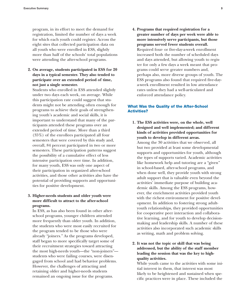program, in its effort to meet the demand for registration, limited the number of days a week for which each youth could register. Across the eight sites that collected participation data on all youth who were enrolled in ESS, slightly more than half of the schools' total populations were attending the after-school programs.

**2. On average, students participated in ESS for 20 days in a typical semester. They also tended to participate over an extended period of time, not just a single semester.**

Students who enrolled in ESS attended slightly under two days each week, on average. While this participation rate could suggest that students might not be attending often enough for programs to achieve their goals of strengthening youth's academic and social skills, it is important to understand that many of the participants attended these programs over an extended period of time. More than a third (35%) of the enrollees participated all four semesters that were covered by this study and, overall, 84 percent participated in two or more semesters. These participation patterns suggest the possibility of a cumulative effect of less intensive participation over time. In addition, for many youth, ESS was only one aspect of their participation in organized after-school activities, and those other activities also have the potential of providing supports and opportunities for positive development.

## **3. Higher-needs students and older youth were more difficult to attract to the after-school programs.**

In ESS, as has also been found in other afterschool programs, younger children attended more frequently than older youth. In addition, the students who were most easily recruited for the program tended to be those who were already "joiners." As the programs developed, staff began to more specifically target some of their recruitment strategies toward attracting the most high-needs youth—the "non-joiners" students who were failing courses, were disengaged from school and had behavior problems. However, the challenges of attracting and retaining older and higher-needs students remained an ongoing issue for the programs.

**4. Programs that required registration for a greater number of days per week were able to more intensively serve participants, but those programs served fewer students overall.** Required four- or five-day-a-week enrollment increased both the number of scheduled days and days attended, but allowing youth to register for only a few days a week meant that programs could serve greater numbers and, perhaps also, more diverse groups of youth. The ESS programs also found that required five-daya-week enrollment resulted in low attendance rates unless they had a well-articulated and enforced attendance policy.

#### **What Was the Quality of the After-School Activities?**

**1. The ESS activities were, on the whole, well designed and well implemented; and different kinds of activities provided opportunities for youth to develop in different areas.** Among the 30 activities that we observed, all but two provided at least some developmental supports and opportunities for youth, although the types of supports varied. Academic activities like homework help and tutoring are a "given" in school-based, after-school programs, and when done well, they provide youth with strong adult support that is valuable even beyond the activities' immediate purpose of building academic skills. Among the ESS programs, however, the enrichment activities provided youth with the richest environment for positive development. In addition to fostering strong adultyouth relationships, they provided opportunities for cooperative peer interaction and collaborative learning, and for youth to develop decisionmaking and leadership skills. A number of these activities also incorporated such academic skills as writing, math and problem solving.

## **2. It was not the topic or skill that was being addressed, but the ability of the staff member leading the session that was the key to highquality activities.**

While youth came to the activities with some initial interest in them, that interest was most likely to be heightened and sustained when specific practices were in place. These included the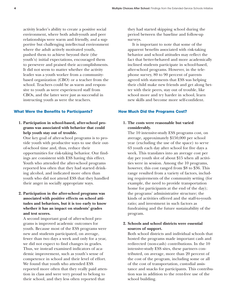activity leader's ability to create a positive social environment, where both adult-youth and peer relationships were warm and friendly, *and* a supportive but challenging intellectual environment where the adult actively motivated youth, pushed them to achieve beyond their (the youth's) initial expectations, encouraged them to persevere and praised their accomplishments. It did not seem to matter whether the activity leader was a youth worker from a communitybased organization (CBO) or a teacher from the school. Teachers could be as warm and responsive to youth as were experienced staff from CBOs, and the latter were just as successful in instructing youth as were the teachers.

#### **What Were the Benefits to Participants?**

**1. Participation in school-based, after-school programs was associated with behavior that could help youth stay out of trouble.**

One key goal of after-school programs is to provide youth with productive ways to use their outof-school time and, thus, reduce their opportunities for risk-taking behavior. Our findings are consistent with ESS having this effect. Youth who attended the after-school programs reported less often that they had started drinking alcohol, and indicated more often than youth who did not attend ESS that they handled their anger in socially appropriate ways.

## **2. Participation in the after-school programs was associated with positive effects on school attitudes and behaviors, but it is too early to know whether it has an impact on students' grades and test scores.**

A second important goal of after-school programs is improved academic outcomes for youth. Because most of the ESS programs were new and students participated, on average, fewer than two days a week and only for a year, we did not expect to find changes in grades. Thus, we instead examined indicators of academic improvement, such as youth's sense of competence in school and their level of effort. We found that youth who attended ESS reported more often that they really paid attention in class and were very proud to belong to their school, and they less often reported that

they had started skipping school during the period between the baseline and follow-up surveys.

It is important to note that some of the apparent benefits associated with risk-taking behavior and school attitudes may reflect the fact that better-behaved and more academically inclined students participate in school-based, after-school programs. However, in the telephone survey, 80 to 90 percent of parents agreed with statements that ESS was helping their child make new friends and get along better with their peers, stay out of trouble, like school more and try harder in school, learn new skills and become more self-confident.

#### **How Much Did the Programs Cost?**

## **1. The costs were reasonable but varied considerably.**

The 10 intensive-study ESS programs cost, on average, approximately \$150,000 per school year (excluding the use of the space) to serve 63 youth each day after school for five days a week. This translates into an average cost per day per youth slot of about \$15 when all activities were in session. Among the 10 programs, however, this cost ranged from \$8 to \$36. This range resulted from a variety of factors, including requirements of the community setting (for example, the need to provide transportation home for participants at the end of the day); the programs' administrative structure; the kinds of activities offered and the staff-to-youth ratio; and investment in such factors as fundraising and the future sustainability of the program.

## **2. Schools and school districts were essential sources of support.**

Both school districts and individual schools that hosted the programs made important cash and redirected (non-cash) contributions. In the 10 intensive-study ESS sites, these partners contributed, on average, more than 20 percent of the cost of the program, including some or all of the cost of transportation, custodial assistance and snacks for participants. This contribution was in addition to the rent-free use of the school building.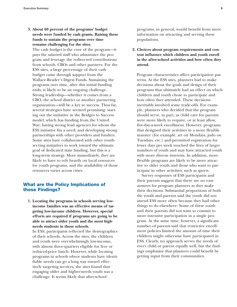**3. About 60 percent of the programs' budget needs were funded by cash grants. Raising these funds to sustain the programs over time remains challenging for the sites.**

The cash budget is the core of the program—it pays the salaried staff who administer the program and leverage the redirected contributions from schools, CBOs and other partners. For the ESS sites, a large percentage of their cash budget came through support from the Wallace-Reader's Digest Funds. Sustaining the programs over time, after this initial funding ends, is likely to be an ongoing challenge. Strong leadership—whether it comes from a CBO, the school district or another partnering organization—will be a key to success. Thus far, several strategies have seemed promising: starting out the initiative in the Bridges to Success model, which has funding from the United Way; having strong lead agencies for whom the ESS initiative fits a need; and developing strong partnerships with other providers and funders. Some sites have collaborated with other youthserving initiatives to work toward the ultimate goal of dedicated state funding, but this is a long-term strategy. More immediately, they are likely to have to rely heavily on local resources for youth programs, and the availability of those resources varies across cities.

## **What are the Policy Implications of these Findings?**

**1. Locating the programs in schools serving lowincome families was an effective means of targeting low-income children. However, special efforts are required if programs are going to be able to attract older youth and the most highneeds students in those schools.** In ESS, participants reflected the demographics of their schools. Across the sites, the children and youth were overwhelmingly low-income, with almost three-quarters eligible for free or reduced-price lunch. However, while locating programs in schools where students have identifiable needs can go a long way toward effectively targeting services, the sites found that engaging older and higher-needs youth was a challenge. It seems likely that after-school

programs, in general, would benefit from more information on attracting and serving these populations.

**2. Choices about program requirements and content influence which children and youth enroll in the after-school activities and how often they attend.**

Program characteristics affect participation patterns. At the ESS sites, planners had to make decisions about the goals and design of their programs that ultimately had an effect on which children and youth chose to participate and how often they attended. These decisions inevitably involved some trade-offs. For example, planners who decided that the program should serve, in part, as child care for parents were more likely to require, or at least allow, five-day-a-week enrollment. However, programs that designed their activities in a more flexible manner (for example, art on Mondays, judo on Tuesdays, etc.) and permitted registration for fewer days per week touched the lives of larger numbers of youth and may have attracted youth with more diverse interests. In addition, more flexible programs are likely to be more attractive to older youth and those who want to participate in other activities, such as sports.

Survey responses of ESS participants and their parents suggest that there are no easy answers for program planners as they make their decisions. Substantial proportions of both the youth and parents said the youth did not attend ESS more often because they had other things to do elsewhere. Some of these youth and their parents did not want to commit to more intensive participation in a single program. At the same time, however, a significant number of parents said that restrictive enrollment policies limited the amount of time their children might otherwise have participated in ESS. Clearly, no approach serves the needs of every child or parent equally well, but the findings emphasize that planners could benefit by getting input from their communities.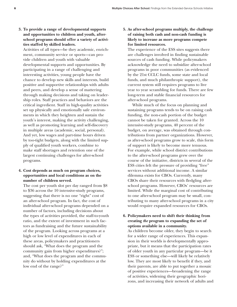**3. To provide a range of developmental supports and opportunities to children and youth, afterschool programs should offer a variety of activities staffed by skilled leaders.**

Activities of all types—be they academic, enrichment, community service or sports—can provide children and youth with valuable developmental supports and opportunities. By participating in a range of challenging and interesting activities, young people have the chance to develop new skills and interests, build positive and supportive relationships with adults and peers, and develop a sense of mattering through making decisions and taking on leadership roles. Staff practices and behaviors are the critical ingredient. Staff in high-quality activities set up physically and emotionally safe environments in which they heighten and sustain the youth's interest, making the activity challenging, as well as promoting learning and self-discovery in multiple areas (academic, social, personal). And yet, low wages and part-time hours driven by too-tight budgets, along with the limited supply of qualified youth workers, combine to make staff shortages and retention one of the largest continuing challenges for after-school programs.

**4. Cost depends as much on program choices, opportunities and local conditions as on the number of children served.**

The cost per youth slot per day ranged from \$8 to \$36 across the 10 intensive-study programs, suggesting that there is no one "right" cost of an after-school program. In fact, the cost of individual after-school programs depended on a number of factors, including decisions about the types of activities provided, the staff-to-youth ratio, and the extent of investment in such factors as fundraising and the future sustainability of the program. Looking across programs at a high or low level of expenditures in each of these areas, policymakers and practitioners should ask, "What does the program and the community gain from higher expenditures?"; and, "What does the program and the community do without by holding expenditures at the low end of the range?"

**5. As after-school programs multiply, the challenge of raising both cash and non-cash funding is likely to increase as more programs compete for limited resources.**

The experience of the ESS sites suggests there are challenges involved in finding sustainable sources of cash funding. While policymakers acknowledge the need to subsidize after-school programs in poor communities (as evidenced by the 21st CCLC funds, some state and local funds, and much philanthropic support), the current system still requires programs to live year to year scrambling for funds. There are few long-term and stable financial resources for after-school programs.

While much of the focus on planning and sustaining programs tends to be on raising cash funding, the non-cash portion of the budget cannot be taken for granted. Across the 10 intensive-study programs, 40 percent of the budget, on average, was obtained through contributions from partner organizations. However, as after-school programs grow to scale, this form of support is likely to become more tenuous. For example, while school district contributions to the after-school programs grew over the course of the initiative, districts in several of the ESS cities felt the pressure of providing "free" services without additional income. A similar dilemma exists for CBOs. Currently, many CBOs share their resources with fledgling afterschool programs. However, CBOs' resources are limited. While the marginal cost of contributing to one after-school program may be small, contributing to many after-school programs in a city would require expanded resources for CBOs.

## **6. Policymakers need to shift their thinking from creating** *the* **program to expanding the set of options available in a community.**

As children become older, they begin to search for a wider range of experiences. This expansion in their worlds is developmentally appropriate, but it means that the participation rates of older youth in any particular program—be it ESS or something else—will likely be relatively low. They are most likely to benefit if they, and their parents, are able to put together a mosaic of positive experiences—broadening the range of activities, widening their geographic horizons, and increasing their network of adults and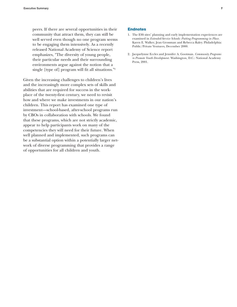peers. If there are several opportunities in their community that attract them, they can still be well served even though no one program seems to be engaging them intensively. As a recently released National Academy of Science report emphasizes, "The diversity of young people, their particular needs and their surrounding environments argue against the notion that a single [type of] program will fit all situations."<sup>2</sup>

Given the increasing challenges to children's lives and the increasingly more complex sets of skills and abilities that are required for success in the workplace of the twenty-first century, we need to revisit how and where we make investments in our nation's children. This report has examined one type of investment—school-based, after-school programs run by CBOs in collaboration with schools. We found that these programs, which are not strictly academic, appear to help participants work on many of the competencies they will need for their future. When well planned and implemented, such programs can be a substantial option within a potentially larger network of diverse programming that provides a range of opportunities for all children and youth.

#### **Endnotes**

- 1. The ESS sites' planning and early implementation experiences are examined in *Extended-Service Schools: Putting Programming in Place.* Karen E. Walker, Jean Grossman and Rebecca Raley. Philadelphia: Public/Private Ventures, December 2000.
- 2. Jacquelynne Eccles and Jennifer A. Gootman. *Community Programs to Promote Youth Development.* Washington, D.C.: National Academy Press, 2001.